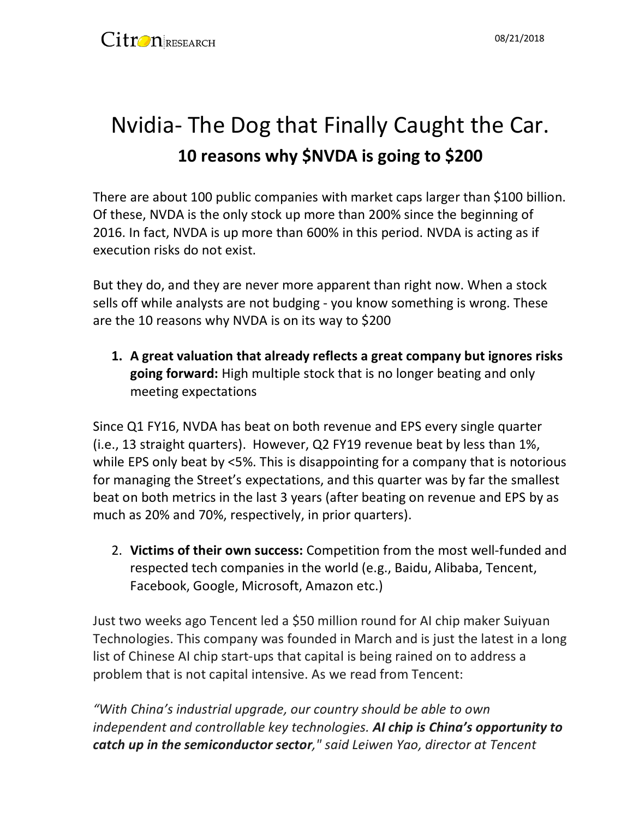# Nvidia- The Dog that Finally Caught the Car. **10 reasons why \$NVDA is going to \$200**

There are about 100 public companies with market caps larger than \$100 billion. Of these, NVDA is the only stock up more than 200% since the beginning of 2016. In fact, NVDA is up more than 600% in this period. NVDA is acting as if execution risks do not exist.

But they do, and they are never more apparent than right now. When a stock sells off while analysts are not budging - you know something is wrong. These are the 10 reasons why NVDA is on its way to \$200

**1. A great valuation that already reflects a great company but ignores risks going forward:** High multiple stock that is no longer beating and only meeting expectations

Since Q1 FY16, NVDA has beat on both revenue and EPS every single quarter (i.e., 13 straight quarters). However, Q2 FY19 revenue beat by less than 1%, while EPS only beat by <5%. This is disappointing for a company that is notorious for managing the Street's expectations, and this quarter was by far the smallest beat on both metrics in the last 3 years (after beating on revenue and EPS by as much as 20% and 70%, respectively, in prior quarters).

2. **Victims of their own success:** Competition from the most well-funded and respected tech companies in the world (e.g., Baidu, Alibaba, Tencent, Facebook, Google, Microsoft, Amazon etc.)

Just two weeks ago Tencent led a \$50 million round for AI chip maker Suiyuan Technologies. This company was founded in March and is just the latest in a long list of Chinese AI chip start-ups that capital is being rained on to address a problem that is not capital intensive. As we read from Tencent:

*"With China's industrial upgrade, our country should be able to own independent and controllable key technologies. AI chip is China's opportunity to catch up in the semiconductor sector," said Leiwen Yao, director at Tencent*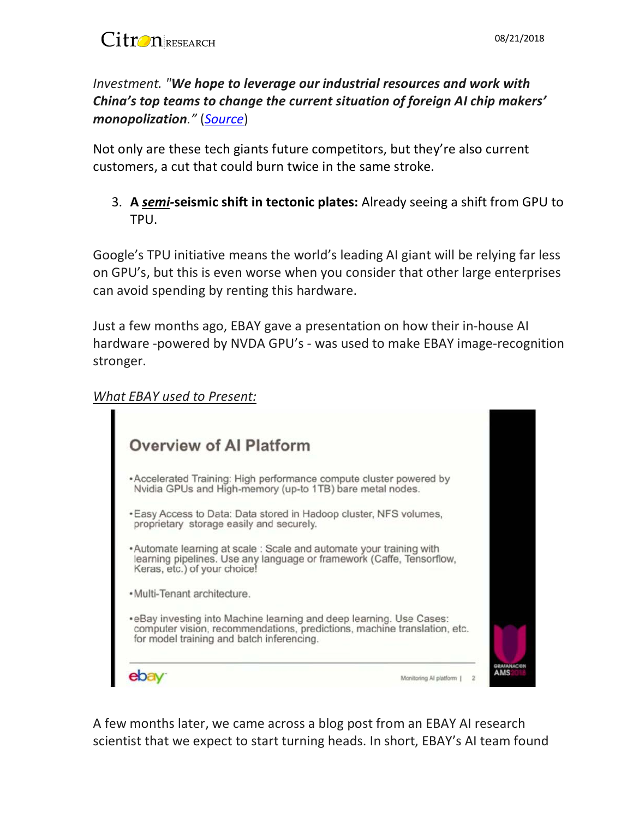*Investment. "We hope to leverage our industrial resources and work with China's top teams to change the current situation of foreign AI chip makers' monopolization."* (*[Source](https://www.chinamoneynetwork.com/2018/08/07/tencent-leads-50m-pre-a-round-in-chinese-ai-chip-maker-suiyuan-technology)*)

Not only are these tech giants future competitors, but they're also current customers, a cut that could burn twice in the same stroke.

3. **A** *semi-***seismic shift in tectonic plates:** Already seeing a shift from GPU to TPU.

Google's TPU initiative means the world's leading AI giant will be relying far less on GPU's, but this is even worse when you consider that other large enterprises can avoid spending by renting this hardware.

Just a few months ago, EBAY gave a presentation on how their in-house AI hardware -powered by NVDA GPU's - was used to make EBAY image-recognition stronger.

#### *What EBAY used to Present:*

| <b>Overview of AI Platform</b>                                                                                                                                                                |  |
|-----------------------------------------------------------------------------------------------------------------------------------------------------------------------------------------------|--|
| *Accelerated Training: High performance compute cluster powered by<br>Nvidia GPUs and High-memory (up-to 1TB) bare metal nodes.                                                               |  |
| . Easy Access to Data: Data stored in Hadoop cluster, NFS volumes,<br>proprietary storage easily and securely.                                                                                |  |
| • Automate learning at scale : Scale and automate your training with<br>learning pipelines. Use any language or framework (Caffe, Tensorflow,<br>Keras, etc.) of your choice!                 |  |
| · Multi-Tenant architecture.                                                                                                                                                                  |  |
| • eBay investing into Machine learning and deep learning. Use Cases:<br>computer vision, recommendations, predictions, machine translation, etc.<br>for model training and batch inferencing. |  |
| Monitoring Al platform                                                                                                                                                                        |  |

A few months later, we came across a blog post from an EBAY AI research scientist that we expect to start turning heads. In short, EBAY's AI team found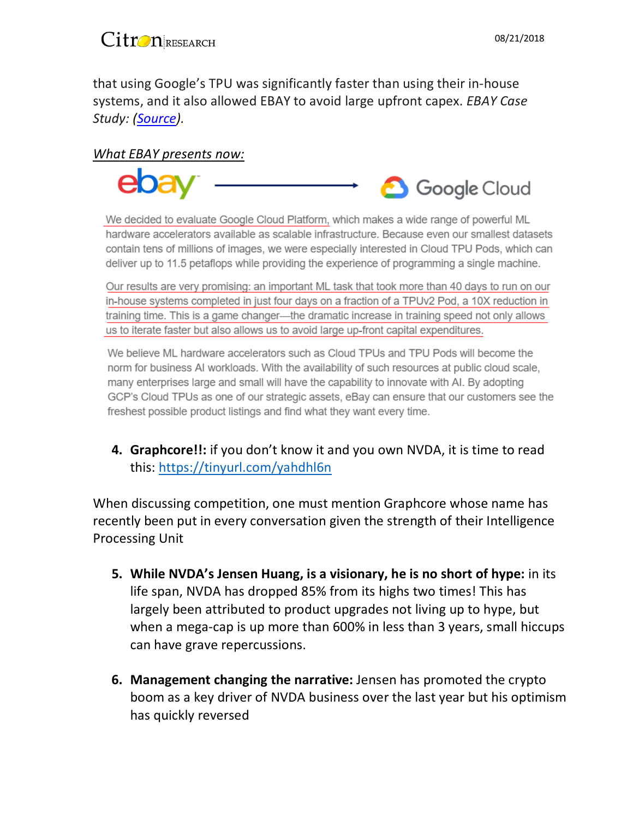

that using Google's TPU was significantly faster than using their in-house systems, and it also allowed EBAY to avoid large upfront capex. *EBAY Case Study: [\(Source\)](https://www.ebayinc.com/stories/blogs/tech/large-scale-product-image-recognition-with-cloud-tpus/).*

#### *What EBAY presents now:*



We decided to evaluate Google Cloud Platform, which makes a wide range of powerful ML hardware accelerators available as scalable infrastructure. Because even our smallest datasets contain tens of millions of images, we were especially interested in Cloud TPU Pods, which can deliver up to 11.5 petaflops while providing the experience of programming a single machine.

Our results are very promising: an important ML task that took more than 40 days to run on our in-house systems completed in just four days on a fraction of a TPUv2 Pod, a 10X reduction in training time. This is a game changer—the dramatic increase in training speed not only allows us to iterate faster but also allows us to avoid large up-front capital expenditures.

We believe ML hardware accelerators such as Cloud TPUs and TPU Pods will become the norm for business AI workloads. With the availability of such resources at public cloud scale, many enterprises large and small will have the capability to innovate with AI. By adopting GCP's Cloud TPUs as one of our strategic assets, eBay can ensure that our customers see the freshest possible product listings and find what they want every time.

**4. Graphcore!!:** if you don't know it and you own NVDA, it is time to read this:<https://tinyurl.com/yahdhl6n>

When discussing competition, one must mention Graphcore whose name has recently been put in every conversation given the strength of their Intelligence Processing Unit

- **5. While NVDA's Jensen Huang, is a visionary, he is no short of hype:** in its life span, NVDA has dropped 85% from its highs two times! This has largely been attributed to product upgrades not living up to hype, but when a mega-cap is up more than 600% in less than 3 years, small hiccups can have grave repercussions.
- **6. Management changing the narrative:** Jensen has promoted the crypto boom as a key driver of NVDA business over the last year but his optimism has quickly reversed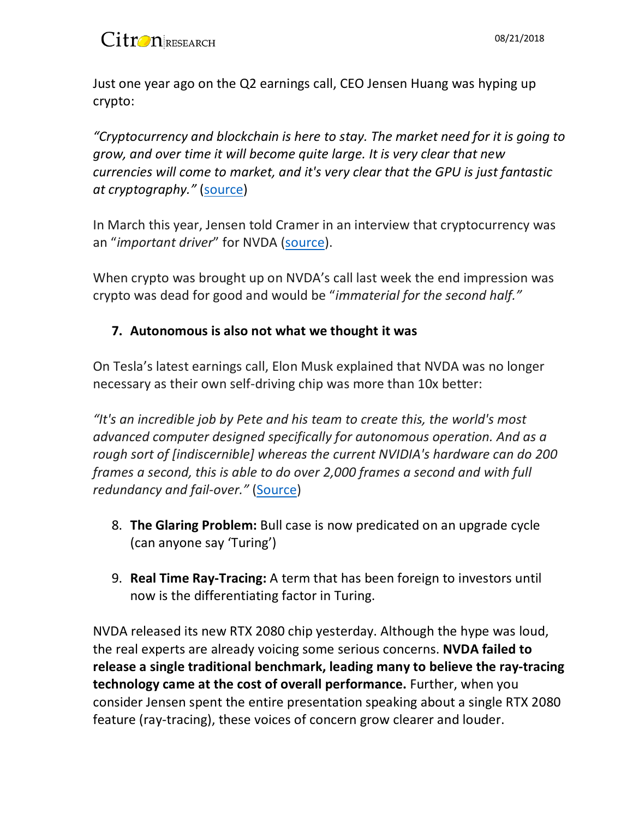Just one year ago on the Q2 earnings call, CEO Jensen Huang was hyping up crypto:

*"Cryptocurrency and blockchain is here to stay. The market need for it is going to grow, and over time it will become quite large. It is very clear that new currencies will come to market, and it's very clear that the GPU is just fantastic at cryptography."* [\(source\)](https://cryptocurrencyfare.com/attn-cramer-nvidia-the-ultimate-short-thesis/)

In March this year, Jensen told Cramer in an interview that cryptocurrency was an "*important driver*" for NVDA [\(source\)](https://www.cnbc.com/video/2018/03/29/nvda-ceo-cryptocurrency-an-important-driver-for-us.html).

When crypto was brought up on NVDA's call last week the end impression was crypto was dead for good and would be "*immaterial for the second half."*

### **7. Autonomous is also not what we thought it was**

On Tesla's latest earnings call, Elon Musk explained that NVDA was no longer necessary as their own self-driving chip was more than 10x better:

*"It's an incredible job by Pete and his team to create this, the world's most advanced computer designed specifically for autonomous operation. And as a rough sort of [indiscernible] whereas the current NVIDIA's hardware can do 200 frames a second, this is able to do over 2,000 frames a second and with full redundancy and fail-over."* [\(Source\)](https://www.forbes.com/sites/davidsilver/2018/08/03/elon-musk-says-teslas-onboard-computer-is-blazingly-fast/#1d729f895993)

- 8. **The Glaring Problem:** Bull case is now predicated on an upgrade cycle (can anyone say 'Turing')
- 9. **Real Time Ray-Tracing:** A term that has been foreign to investors until now is the differentiating factor in Turing.

NVDA released its new RTX 2080 chip yesterday. Although the hype was loud, the real experts are already voicing some serious concerns. **NVDA failed to release a single traditional benchmark, leading many to believe the ray-tracing technology came at the cost of overall performance.** Further, when you consider Jensen spent the entire presentation speaking about a single RTX 2080 feature (ray-tracing), these voices of concern grow clearer and louder.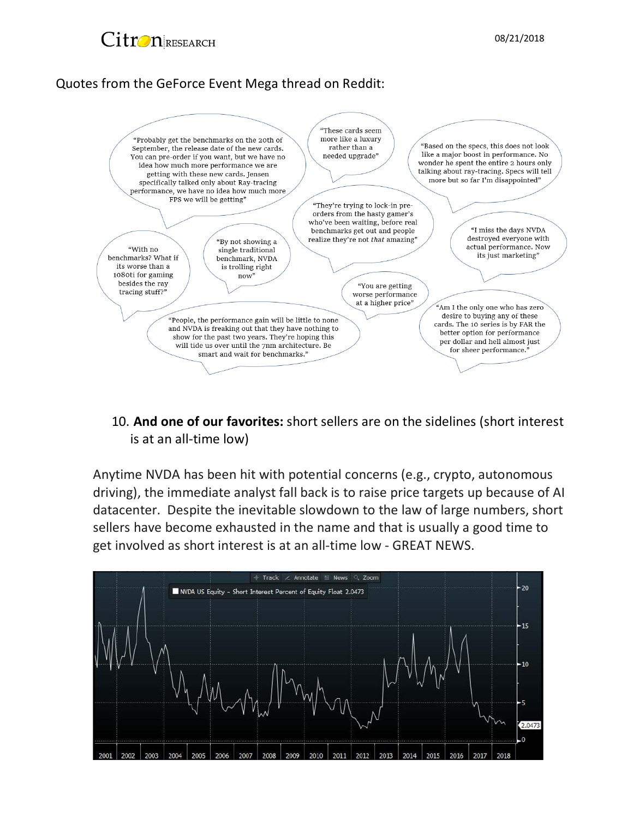

### Quotes from the GeForce Event Mega thread on Reddit:



10. **And one of our favorites:** short sellers are on the sidelines (short interest is at an all-time low)

Anytime NVDA has been hit with potential concerns (e.g., crypto, autonomous driving), the immediate analyst fall back is to raise price targets up because of AI datacenter. Despite the inevitable slowdown to the law of large numbers, short sellers have become exhausted in the name and that is usually a good time to get involved as short interest is at an all-time low - GREAT NEWS.

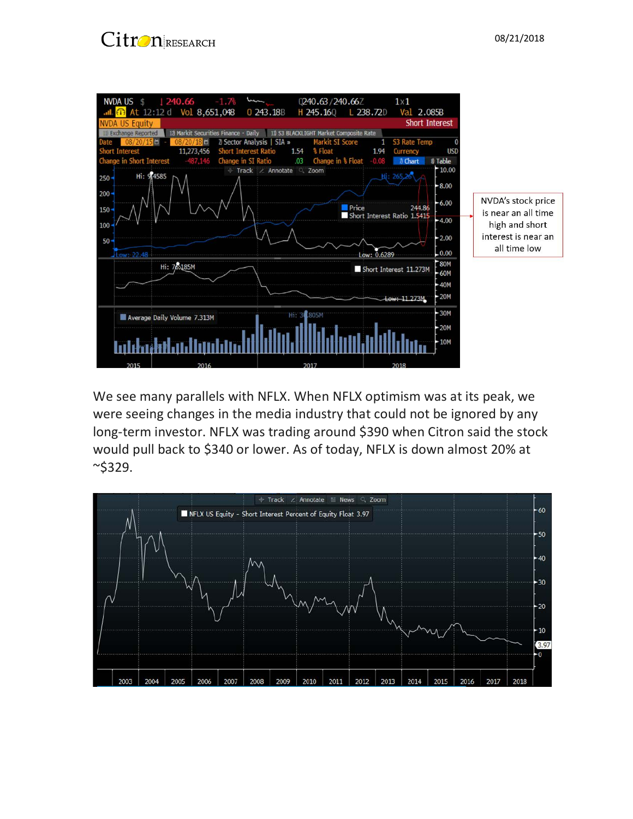



We see many parallels with NFLX. When NFLX optimism was at its peak, we were seeing changes in the media industry that could not be ignored by any long-term investor. NFLX was trading around \$390 when Citron said the stock would pull back to \$340 or lower. As of today, NFLX is down almost 20% at  $~^{\sim}$ \$329.